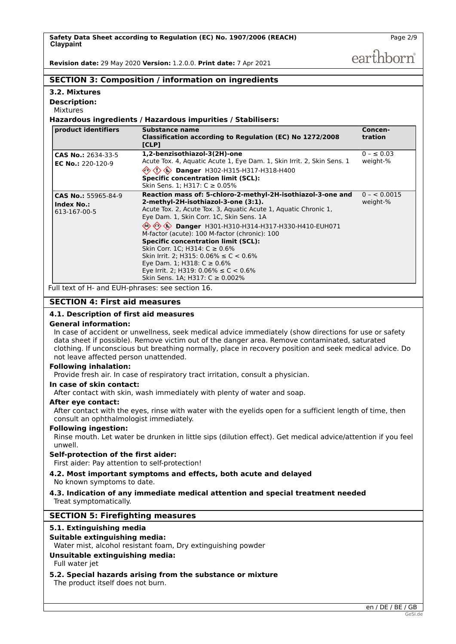earthborn

**Concen-**

**Revision date:** 29 May 2020 **Version:** 1.2.0.0. **Print date:** 7 Apr 2021

# **SECTION 3: Composition / information on ingredients**

| 3.2. Mixtures           |
|-------------------------|
| <b>Description:</b>     |
| <b>Mixtures</b>         |
| Hazardous ingr          |
| <b>product identifi</b> |

# **Hazardous ingredients / Hazardous impurities / Stabilisers:**

| product identifiers                                      | Substance name<br>Classification according to Regulation (EC) No 1272/2008<br>[CLP]                                                                                                                                                                                                                                                                                                                                                                                                                                                                                                       | Concen-<br>tration         |
|----------------------------------------------------------|-------------------------------------------------------------------------------------------------------------------------------------------------------------------------------------------------------------------------------------------------------------------------------------------------------------------------------------------------------------------------------------------------------------------------------------------------------------------------------------------------------------------------------------------------------------------------------------------|----------------------------|
| <b>CAS No.: 2634-33-5</b><br><b>EC No.: 220-120-9</b>    | 1,2-benzisothiazol-3(2H)-one<br>Acute Tox. 4, Aquatic Acute 1, Eye Dam. 1, Skin Irrit. 2, Skin Sens. 1<br>→ <> <> Danger H302-H315-H317-H318-H400<br><b>Specific concentration limit (SCL):</b><br>Skin Sens. 1; H317: $C \ge 0.05\%$                                                                                                                                                                                                                                                                                                                                                     | $0 - \le 0.03$<br>weight-% |
| CAS No.: 55965-84-9<br><b>Index No.:</b><br>613-167-00-5 | Reaction mass of: 5-chloro-2-methyl-2H-isothiazol-3-one and<br>2-methyl-2H-isothiazol-3-one (3:1).<br>Acute Tox. 2, Acute Tox. 3, Aquatic Acute 1, Aquatic Chronic 1,<br>Eye Dam. 1, Skin Corr. 1C, Skin Sens. 1A<br><sup>◇</sup> ◆ ◆ Danger H301-H310-H314-H317-H330-H410-EUH071<br>M-factor (acute): 100 M-factor (chronic): 100<br><b>Specific concentration limit (SCL):</b><br>Skin Corr. 1C: H314: $C \ge 0.6\%$<br>Skin Irrit. 2; H315: $0.06\% \le C < 0.6\%$<br>Eye Dam. 1; H318: C ≥ 0.6%<br>Eye Irrit. 2; H319: $0.06\% \le C < 0.6\%$<br>Skin Sens. 1A; H317: $C \ge 0.002\%$ | $0 - 0.0015$<br>weight-%   |

Full text of H- and EUH-phrases: see section 16.

# **SECTION 4: First aid measures**

# **4.1. Description of first aid measures**

### **General information:**

In case of accident or unwellness, seek medical advice immediately (show directions for use or safety data sheet if possible). Remove victim out of the danger area. Remove contaminated, saturated clothing. If unconscious but breathing normally, place in recovery position and seek medical advice. Do not leave affected person unattended.

#### **Following inhalation:**

Provide fresh air. In case of respiratory tract irritation, consult a physician.

#### **In case of skin contact:**

After contact with skin, wash immediately with plenty of water and soap.

#### **After eye contact:**

After contact with the eyes, rinse with water with the eyelids open for a sufficient length of time, then consult an ophthalmologist immediately.

#### **Following ingestion:**

Rinse mouth. Let water be drunken in little sips (dilution effect). Get medical advice/attention if you feel unwell.

#### **Self-protection of the first aider:**

First aider: Pay attention to self-protection!

#### **4.2. Most important symptoms and effects, both acute and delayed** No known symptoms to date.

#### **4.3. Indication of any immediate medical attention and special treatment needed** Treat symptomatically.

# **SECTION 5: Firefighting measures**

#### **5.1. Extinguishing media**

#### **Suitable extinguishing media:**

Water mist, alcohol resistant foam, Dry extinguishing powder

# **Unsuitable extinguishing media:**

Full water jet

#### **5.2. Special hazards arising from the substance or mixture**

The product itself does not burn.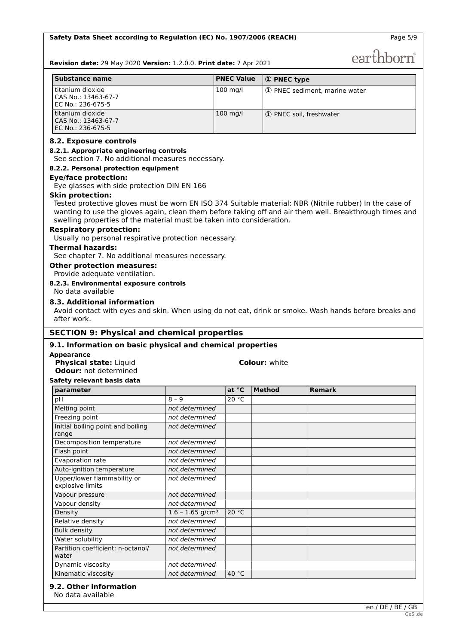Page 5/9

earthborn

**Revision date:** 29 May 2020 **Version:** 1.2.0.0. **Print date:** 7 Apr 2021

| Substance name                                                     | <b>PNEC Value</b>  | $\mathbf 0$ PNEC type         |
|--------------------------------------------------------------------|--------------------|-------------------------------|
| l titanium dioxide<br>l CAS No.: 13463-67-7<br>l EC No.: 236-675-5 | $100 \text{ mg/l}$ | 1 PNEC sediment, marine water |
| l titanium dioxide<br>l CAS No.: 13463-67-7<br>l EC No.: 236-675-5 | $100 \text{ mg/l}$ | 1) PNEC soil, freshwater      |

#### **8.2. Exposure controls**

#### **8.2.1. Appropriate engineering controls**

See section 7. No additional measures necessary.

#### **8.2.2. Personal protection equipment**

#### **Eye/face protection:**

Eye glasses with side protection DIN EN 166

#### **Skin protection:**

Tested protective gloves must be worn EN ISO 374 Suitable material: NBR (Nitrile rubber) In the case of wanting to use the gloves again, clean them before taking off and air them well. Breakthrough times and swelling properties of the material must be taken into consideration.

#### **Respiratory protection:**

Usually no personal respirative protection necessary.

#### **Thermal hazards:**

See chapter 7. No additional measures necessary.

**Other protection measures:**

Provide adequate ventilation.

# **8.2.3. Environmental exposure controls**

# No data available

#### **8.3. Additional information**

Avoid contact with eyes and skin. When using do not eat, drink or smoke. Wash hands before breaks and after work.

# **SECTION 9: Physical and chemical properties**

#### **9.1. Information on basic physical and chemical properties**

#### **Appearance**

**Physical state:** Liquid **Colour:** white **Odour:** not determined

#### **Safety relevant basis data**

| parameter                                       |                                | at $^{\circ}$ C | <b>Method</b> | <b>Remark</b> |
|-------------------------------------------------|--------------------------------|-----------------|---------------|---------------|
| pH                                              | $8 - 9$                        | 20 °C           |               |               |
| Melting point                                   | not determined                 |                 |               |               |
| Freezing point                                  | not determined                 |                 |               |               |
| Initial boiling point and boiling<br>range      | not determined                 |                 |               |               |
| Decomposition temperature                       | not determined                 |                 |               |               |
| Flash point                                     | not determined                 |                 |               |               |
| Evaporation rate                                | not determined                 |                 |               |               |
| Auto-ignition temperature                       | not determined                 |                 |               |               |
| Upper/lower flammability or<br>explosive limits | not determined                 |                 |               |               |
| Vapour pressure                                 | not determined                 |                 |               |               |
| Vapour density                                  | not determined                 |                 |               |               |
| Density                                         | $1.6 - 1.65$ g/cm <sup>3</sup> | 20 °C           |               |               |
| Relative density                                | not determined                 |                 |               |               |
| <b>Bulk density</b>                             | not determined                 |                 |               |               |
| Water solubility                                | not determined                 |                 |               |               |
| Partition coefficient: n-octanol/<br>water      | not determined                 |                 |               |               |
| Dynamic viscosity                               | not determined                 |                 |               |               |
| Kinematic viscosity                             | not determined                 | 40 °C           |               |               |

#### **9.2. Other information**

No data available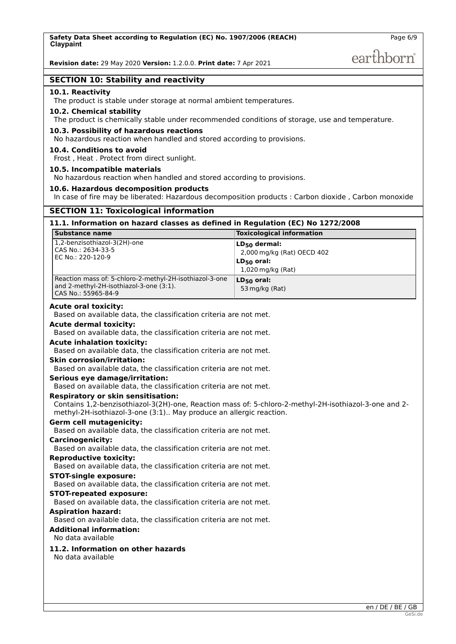# earthborn

### **SECTION 10: Stability and reactivity**

#### **10.1. Reactivity**

The product is stable under storage at normal ambient temperatures.

#### **10.2. Chemical stability**

The product is chemically stable under recommended conditions of storage, use and temperature.

#### **10.3. Possibility of hazardous reactions**

No hazardous reaction when handled and stored according to provisions.

#### **10.4. Conditions to avoid**

Frost , Heat . Protect from direct sunlight.

#### **10.5. Incompatible materials**

No hazardous reaction when handled and stored according to provisions.

#### **10.6. Hazardous decomposition products**

In case of fire may be liberated: Hazardous decomposition products : Carbon dioxide , Carbon monoxide

# **SECTION 11: Toxicological information**

# **11.1. Information on hazard classes as defined in Regulation (EC) No 1272/2008**

| Substance name                                                                                                            | <b>Toxicological information</b>                                                        |
|---------------------------------------------------------------------------------------------------------------------------|-----------------------------------------------------------------------------------------|
| 1,2-benzisothiazol-3(2H)-one<br>CAS No.: 2634-33-5<br>EC No.: 220-120-9                                                   | $LD_{50}$ dermal:<br>2,000 mg/kg (Rat) OECD 402<br>$LD_{50}$ oral:<br>1,020 mg/kg (Rat) |
| Reaction mass of: 5-chloro-2-methyl-2H-isothiazol-3-one<br>and 2-methyl-2H-isothiazol-3-one (3:1).<br>CAS No.: 55965-84-9 | $LD_{50}$ oral:<br>53 mg/kg (Rat)                                                       |

#### **Acute oral toxicity:**

Based on available data, the classification criteria are not met.

### **Acute dermal toxicity:**

Based on available data, the classification criteria are not met.

#### **Acute inhalation toxicity:**

Based on available data, the classification criteria are not met.

#### **Skin corrosion/irritation:**

Based on available data, the classification criteria are not met.

#### **Serious eye damage/irritation:**

Based on available data, the classification criteria are not met.

#### **Respiratory or skin sensitisation:**

Contains 1,2-benzisothiazol-3(2H)-one, Reaction mass of: 5-chloro-2-methyl-2H-isothiazol-3-one and 2 methyl-2H-isothiazol-3-one (3:1).. May produce an allergic reaction.

### **Germ cell mutagenicity:**

Based on available data, the classification criteria are not met.

#### **Carcinogenicity:**

Based on available data, the classification criteria are not met.

#### **Reproductive toxicity:**

Based on available data, the classification criteria are not met.

# **STOT-single exposure:**

Based on available data, the classification criteria are not met.

#### **STOT-repeated exposure:**

Based on available data, the classification criteria are not met.

#### **Aspiration hazard:**

Based on available data, the classification criteria are not met.

### **Additional information:**

No data available

# **11.2. Information on other hazards**

No data available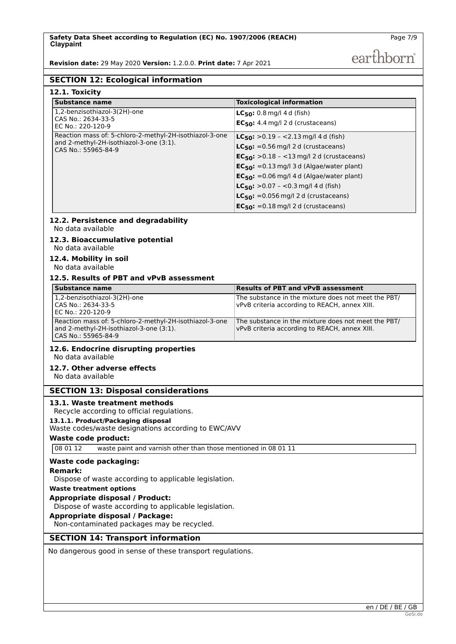**Revision date:** 29 May 2020 **Version:** 1.2.0.0. **Print date:** 7 Apr 2021

earthborn

# **SECTION 12: Ecological information**

| 12.1. Toxicity                                                                                                            |                                                                                                                                                                                                                                                                                                                                                                                                    |
|---------------------------------------------------------------------------------------------------------------------------|----------------------------------------------------------------------------------------------------------------------------------------------------------------------------------------------------------------------------------------------------------------------------------------------------------------------------------------------------------------------------------------------------|
| <b>Substance name</b>                                                                                                     | <b>Toxicological information</b>                                                                                                                                                                                                                                                                                                                                                                   |
| 1,2-benzisothiazol-3(2H)-one<br>CAS No.: 2634-33-5<br>EC No.: 220-120-9                                                   | $LC_{50}$ : 0.8 mg/l 4 d (fish)<br>$EC_{50}$ : 4.4 mg/l 2 d (crustaceans)                                                                                                                                                                                                                                                                                                                          |
| Reaction mass of: 5-chloro-2-methyl-2H-isothiazol-3-one<br>and 2-methyl-2H-isothiazol-3-one (3:1).<br>CAS No.: 55965-84-9 | $LC_{50}$ : > 0.19 - < 2.13 mg/l 4 d (fish)<br>$LC_{50}$ : = 0.56 mg/l 2 d (crustaceans)<br>$EC_{50}$ : >0.18 - <13 mg/l 2 d (crustaceans)<br>$EC_{50}$ : =0.13 mg/l 3 d (Algae/water plant)<br>$EC_{50}$ : =0.06 mg/l 4 d (Algae/water plant)<br>$LC_{50}$ : > 0.07 - < 0.3 mg/l 4 d (fish)<br><b>LC<sub>50</sub>:</b> =0.056 mg/l 2 d (crustaceans)<br>$EC_{50}$ : = 0.18 mg/l 2 d (crustaceans) |

#### **12.2. Persistence and degradability** No data available

#### **12.3. Bioaccumulative potential** No data available

**12.4. Mobility in soil**

No data available

### **12.5. Results of PBT and vPvB assessment**

| Substance name                                                                                                            | <b>Results of PBT and vPvB assessment</b>                                                            |
|---------------------------------------------------------------------------------------------------------------------------|------------------------------------------------------------------------------------------------------|
| 1,2-benzisothiazol-3(2H)-one<br>l CAS No.: 2634-33-5<br>EC No.: 220-120-9                                                 | The substance in the mixture does not meet the PBT/<br>vPvB criteria according to REACH, annex XIII. |
| Reaction mass of: 5-chloro-2-methyl-2H-isothiazol-3-one<br>and 2-methyl-2H-isothiazol-3-one (3:1).<br>CAS No.: 55965-84-9 | The substance in the mixture does not meet the PBT/<br>vPvB criteria according to REACH, annex XIII. |

#### **12.6. Endocrine disrupting properties** No data available

#### **12.7. Other adverse effects**

No data available

#### **SECTION 13: Disposal considerations**

#### **13.1. Waste treatment methods**

Recycle according to official regulations.

#### **13.1.1. Product/Packaging disposal**

Waste codes/waste designations according to EWC/AVV

#### **Waste code product:**

08 01 12 waste paint and varnish other than those mentioned in 08 01 11

#### **Waste code packaging:**

#### **Remark:**

Dispose of waste according to applicable legislation.

# **Waste treatment options**

**Appropriate disposal / Product:**

Dispose of waste according to applicable legislation.

#### **Appropriate disposal / Package:**

Non-contaminated packages may be recycled.

# **SECTION 14: Transport information**

No dangerous good in sense of these transport regulations.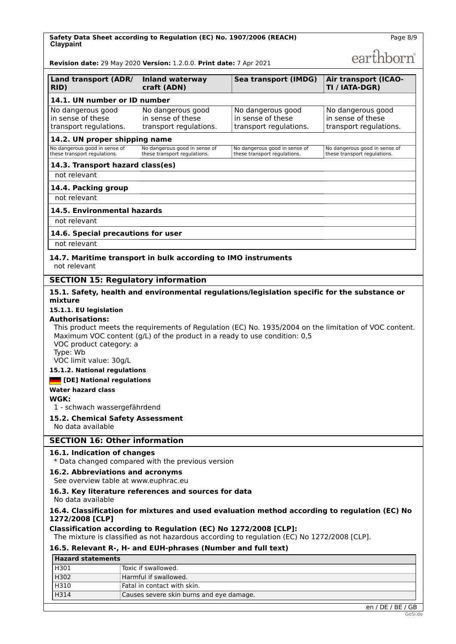**Safety Data Sheet according to Regulation (EC) No. 1907/2006 (REACH) Claypaint**

earthborn

Page 8/9

**Revision date:** 29 May 2020 **Version:** 1.2.0.0. **Print date:** 7 Apr 2021

| Land transport (ADR/<br>RID)                                     | <b>Inland waterway</b><br>craft (ADN)                            | Sea transport (IMDG)                                             | <b>Air transport (ICAO-</b><br>TI / IATA-DGR)                    |
|------------------------------------------------------------------|------------------------------------------------------------------|------------------------------------------------------------------|------------------------------------------------------------------|
| 14.1. UN number or ID number                                     |                                                                  |                                                                  |                                                                  |
| No dangerous good<br>in sense of these<br>transport regulations. | No dangerous good<br>in sense of these<br>transport regulations. | No dangerous good<br>in sense of these<br>transport regulations. | No dangerous good<br>in sense of these<br>transport regulations. |
| 14.2. UN proper shipping name                                    |                                                                  |                                                                  |                                                                  |
| No dangerous good in sense of<br>these transport regulations.    | No dangerous good in sense of<br>these transport regulations.    | No dangerous good in sense of<br>these transport regulations.    | No dangerous good in sense of<br>these transport regulations.    |
| 14.3. Transport hazard class(es)                                 |                                                                  |                                                                  |                                                                  |
| not relevant                                                     |                                                                  |                                                                  |                                                                  |
| 14.4. Packing group                                              |                                                                  |                                                                  |                                                                  |
| not relevant                                                     |                                                                  |                                                                  |                                                                  |
| 14.5. Environmental hazards                                      |                                                                  |                                                                  |                                                                  |
| not relevant                                                     |                                                                  |                                                                  |                                                                  |
| 14.6. Special precautions for user                               |                                                                  |                                                                  |                                                                  |
| not relevant                                                     |                                                                  |                                                                  |                                                                  |

#### **14.7. Maritime transport in bulk according to IMO instruments** not relevant

### **SECTION 15: Regulatory information**

#### **15.1. Safety, health and environmental regulations/legislation specific for the substance or mixture**

# **15.1.1. EU legislation**

#### **Authorisations:**

This product meets the requirements of Regulation (EC) No. 1935/2004 on the limitation of VOC content. Maximum VOC content (g/L) of the product in a ready to use condition: 0,5 VOC product category: a Type: Wb VOC limit value: 30g/L

#### **15.1.2. National regulations**

#### **[DE] National regulations**

**Water hazard class**

#### **WGK:**

1 - schwach wassergefährdend

# **15.2. Chemical Safety Assessment**

No data available

# **SECTION 16: Other information**

#### **16.1. Indication of changes**

\* Data changed compared with the previous version

# **16.2. Abbreviations and acronyms**

### See overview table at www.euphrac.eu

#### **16.3. Key literature references and sources for data**

No data available

### **16.4. Classification for mixtures and used evaluation method according to regulation (EC) No 1272/2008 [CLP]**

### **Classification according to Regulation (EC) No 1272/2008 [CLP]:**

The mixture is classified as not hazardous according to regulation (EC) No 1272/2008 [CLP].

# **16.5. Relevant R-, H- and EUH-phrases (Number and full text)**

# **Hazard statements**

| H301 | Toxic if swallowed.                      |
|------|------------------------------------------|
| H302 | Harmful if swallowed.                    |
| H310 | Fatal in contact with skin.              |
| H314 | Causes severe skin burns and eye damage. |